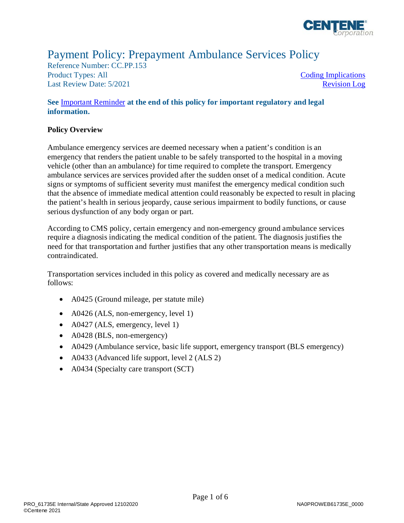

# Payment Policy: Prepayment Ambulance Services Policy

Reference Number: CC.PP.153 Product Types: All Last Review Date: 5/2021

[Coding Implications](#page-2-0)  [Revision Log](#page-3-0) 

#### **See** [Important Reminder](#page-3-1) **at the end of this policy for important regulatory and legal information.**

#### **Policy Overview**

 Ambulance emergency services are deemed necessary when a patient's condition is an emergency that renders the patient unable to be safely transported to the hospital in a moving vehicle (other than an ambulance) for time required to complete the transport. Emergency ambulance services are services provided after the sudden onset of a medical condition. Acute signs or symptoms of sufficient severity must manifest the emergency medical condition such that the absence of immediate medical attention could reasonably be expected to result in placing the patient's health in serious jeopardy, cause serious impairment to bodily functions, or cause serious dysfunction of any body organ or part.

 require a diagnosis indicating the medical condition of the patient. The diagnosis justifies the need for that transportation and further justifies that any other transportation means is medically According to CMS policy, certain emergency and non-emergency ground ambulance services contraindicated.

 Transportation services included in this policy as covered and medically necessary are as follows:

- A0425 (Ground mileage, per statute mile)
- A0426 (ALS, non-emergency, level 1)
- A0427 (ALS, emergency, level 1)
- A0428 (BLS, non-emergency)
- A0429 (Ambulance service, basic life support, emergency transport (BLS emergency)
- A0433 (Advanced life support, level 2 (ALS 2)
- A0434 (Specialty care transport (SCT)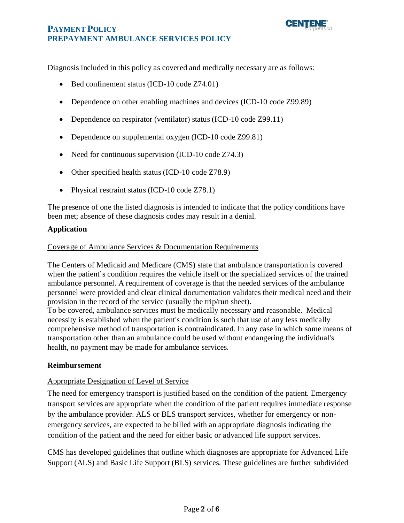

Diagnosis included in this policy as covered and medically necessary are as follows:

- Bed confinement status (ICD-10 code Z74.01)
- Dependence on other enabling machines and devices (ICD-10 code Z99.89)
- Dependence on respirator (ventilator) status (ICD-10 code Z99.11)
- Dependence on supplemental oxygen (ICD-10 code Z99.81)
- Need for continuous supervision (ICD-10 code Z74.3)
- Other specified health status (ICD-10 code Z78.9)
- Physical restraint status (ICD-10 code Z78.1)

 The presence of one the listed diagnosis is intended to indicate that the policy conditions have been met; absence of these diagnosis codes may result in a denial.

#### **Application**

#### Coverage of Ambulance Services & Documentation Requirements

 The Centers of Medicaid and Medicare (CMS) state that ambulance transportation is covered when the patient's condition requires the vehicle itself or the specialized services of the trained ambulance personnel. A requirement of coverage is that the needed services of the ambulance personnel were provided and clear clinical documentation validates their medical need and their provision in the record of the service (usually the trip/run sheet).

 To be covered, ambulance services must be medically necessary and reasonable. Medical necessity is established when the patient's condition is such that use of any less medically comprehensive method of transportation is contraindicated. In any case in which some means of transportation other than an ambulance could be used without endangering the individual's health, no payment may be made for ambulance services.

#### **Reimbursement**

#### Appropriate Designation of Level of Service

The need for emergency transport is justified based on the condition of the patient. Emergency transport services are appropriate when the condition of the patient requires immediate response by the ambulance provider. ALS or BLS transport services, whether for emergency or nonemergency services, are expected to be billed with an appropriate diagnosis indicating the condition of the patient and the need for either basic or advanced life support services.

 CMS has developed guidelines that outline which diagnoses are appropriate for Advanced Life Support (ALS) and Basic Life Support (BLS) services. These guidelines are further subdivided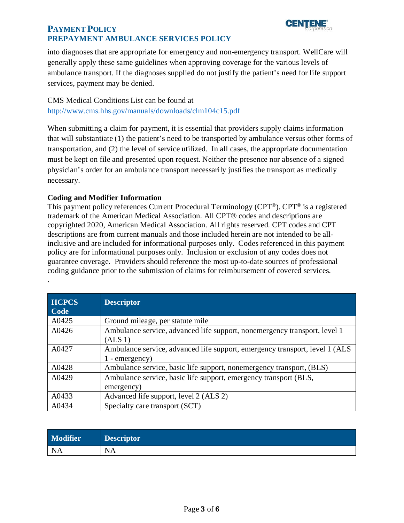# **PAYMENT POLICY PREPAYMENT AMBULANCE SERVICES POLICY**



 generally apply these same guidelines when approving coverage for the various levels of ambulance transport. If the diagnoses supplied do not justify the patient's need for life support services, payment may be denied. into diagnoses that are appropriate for emergency and non-emergency transport. WellCare will

CMS Medical Conditions List can be found at <http://www.cms.hhs.gov/manuals/downloads/clm104c15.pdf>

 When submitting a claim for payment, it is essential that providers supply claims information that will substantiate (1) the patient's need to be transported by ambulance versus other forms of transportation, and (2) the level of service utilized. In all cases, the appropriate documentation must be kept on file and presented upon request. Neither the presence nor absence of a signed physician's order for an ambulance transport necessarily justifies the transport as medically necessary.

### <span id="page-2-0"></span>**Coding and Modifier Information**

.

This payment policy references Current Procedural Terminology (CPT®). CPT® is a registered trademark of the American Medical Association. All CPT® codes and descriptions are copyrighted 2020, American Medical Association. All rights reserved. CPT codes and CPT descriptions are from current manuals and those included herein are not intended to be allinclusive and are included for informational purposes only. Codes referenced in this payment policy are for informational purposes only. Inclusion or exclusion of any codes does not guarantee coverage. Providers should reference the most up-to-date sources of professional coding guidance prior to the submission of claims for reimbursement of covered services.

| <b>HCPCS</b><br>Code | <b>Descriptor</b>                                                                               |
|----------------------|-------------------------------------------------------------------------------------------------|
| A0425                | Ground mileage, per statute mile                                                                |
| A0426                | Ambulance service, advanced life support, nonemergency transport, level 1<br>(ALS 1)            |
| A0427                | Ambulance service, advanced life support, emergency transport, level 1 (ALS<br>$1$ - emergency) |
| A0428                | Ambulance service, basic life support, nonemergency transport, (BLS)                            |
| A0429                | Ambulance service, basic life support, emergency transport (BLS,<br>emergency)                  |
| A0433                | Advanced life support, level 2 (ALS 2)                                                          |
| A0434                | Specialty care transport (SCT)                                                                  |

| <b>Modifier</b> | Descriptor |
|-----------------|------------|
| NA              | <b>NA</b>  |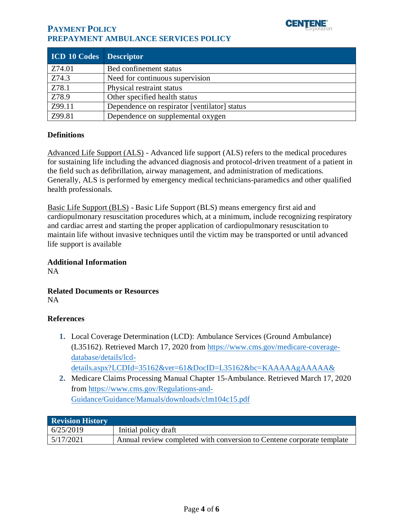

## **PAYMENT POLICY PREPAYMENT AMBULANCE SERVICES POLICY**

| <b>ICD 10 Codes</b> Descriptor |                                              |
|--------------------------------|----------------------------------------------|
| Z74.01                         | Bed confinement status                       |
| Z74.3                          | Need for continuous supervision              |
| Z78.1                          | Physical restraint status                    |
| Z78.9                          | Other specified health status                |
| Z99.11                         | Dependence on respirator [ventilator] status |
| Z99.81                         | Dependence on supplemental oxygen            |

#### **Definitions**

Advanced Life Support (ALS) - Advanced life support (ALS) refers to the medical procedures for sustaining life including the advanced diagnosis and protocol-driven treatment of a patient in the field such as defibrillation, airway management, and administration of medications. Generally, ALS is performed by emergency medical technicians-paramedics and other qualified health professionals.

Basic Life Support (BLS) - Basic Life Support (BLS) means emergency first aid and cardiopulmonary resuscitation procedures which, at a minimum, include recognizing respiratory and cardiac arrest and starting the proper application of cardiopulmonary resuscitation to maintain life without invasive techniques until the victim may be transported or until advanced life support is available

#### **Additional Information**

NA

#### **Related Documents or Resources**  NA

#### **References**

- **1.** Local Coverage Determination (LCD): Ambulance Services (Ground Ambulance) (L35162). Retrieved March 17, 2020 from [https://www.cms.gov/medicare-coverage](https://www.cms.gov/medicare-coverage-database/details/lcd-details.aspx?LCDId=35162&ver=61&DocID=L35162&bc=KAAAAAgAAAAA&)[database/details/lcd](https://www.cms.gov/medicare-coverage-database/details/lcd-details.aspx?LCDId=35162&ver=61&DocID=L35162&bc=KAAAAAgAAAAA&)[details.aspx?LCDId=35162&ver=61&DocID=L35162&bc=KAAAAAgAAAAA&](https://www.cms.gov/medicare-coverage-database/details/lcd-details.aspx?LCDId=35162&ver=61&DocID=L35162&bc=KAAAAAgAAAAA&)
- **2.** Medicare Claims Processing Manual Chapter 15-Ambulance. Retrieved March 17, 2020 from [https://www.cms.gov/Regulations-and-](https://www.cms.gov/Regulations-and-Guidance/Guidance/Manuals/downloads/clm104c15.pdf)[Guidance/Guidance/Manuals/downloads/clm104c15.pdf](https://www.cms.gov/Regulations-and-Guidance/Guidance/Manuals/downloads/clm104c15.pdf)

<span id="page-3-1"></span><span id="page-3-0"></span>

| <b>Revision History</b> |                                                                       |  |
|-------------------------|-----------------------------------------------------------------------|--|
| 6/25/2019               | Initial policy draft                                                  |  |
| 5/17/2021               | Annual review completed with conversion to Centene corporate template |  |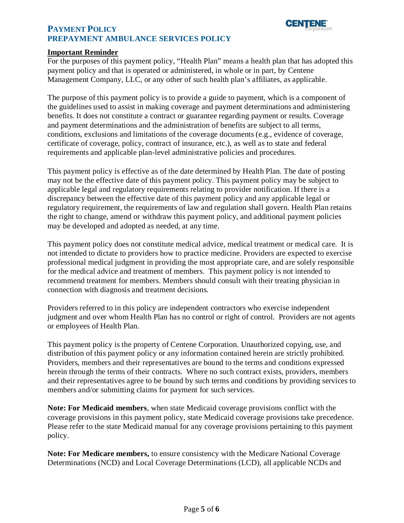



#### **Important Reminder**

 For the purposes of this payment policy, "Health Plan" means a health plan that has adopted this payment policy and that is operated or administered, in whole or in part, by Centene Management Company, LLC, or any other of such health plan's affiliates, as applicable.

 The purpose of this payment policy is to provide a guide to payment, which is a component of the guidelines used to assist in making coverage and payment determinations and administering benefits. It does not constitute a contract or guarantee regarding payment or results. Coverage and payment determinations and the administration of benefits are subject to all terms, conditions, exclusions and limitations of the coverage documents (e.g., evidence of coverage, certificate of coverage, policy, contract of insurance, etc.), as well as to state and federal requirements and applicable plan-level administrative policies and procedures.

 This payment policy is effective as of the date determined by Health Plan. The date of posting may not be the effective date of this payment policy. This payment policy may be subject to applicable legal and regulatory requirements relating to provider notification. If there is a discrepancy between the effective date of this payment policy and any applicable legal or regulatory requirement, the requirements of law and regulation shall govern. Health Plan retains the right to change, amend or withdraw this payment policy, and additional payment policies may be developed and adopted as needed, at any time.

 This payment policy does not constitute medical advice, medical treatment or medical care. It is not intended to dictate to providers how to practice medicine. Providers are expected to exercise professional medical judgment in providing the most appropriate care, and are solely responsible for the medical advice and treatment of members. This payment policy is not intended to recommend treatment for members. Members should consult with their treating physician in connection with diagnosis and treatment decisions.

 Providers referred to in this policy are independent contractors who exercise independent judgment and over whom Health Plan has no control or right of control. Providers are not agents or employees of Health Plan.

 This payment policy is the property of Centene Corporation. Unauthorized copying, use, and distribution of this payment policy or any information contained herein are strictly prohibited. Providers, members and their representatives are bound to the terms and conditions expressed herein through the terms of their contracts. Where no such contract exists, providers, members and their representatives agree to be bound by such terms and conditions by providing services to members and/or submitting claims for payment for such services.

 **Note: For Medicaid members**, when state Medicaid coverage provisions conflict with the coverage provisions in this payment policy, state Medicaid coverage provisions take precedence. Please refer to the state Medicaid manual for any coverage provisions pertaining to this payment policy.

 **Note: For Medicare members,** to ensure consistency with the Medicare National Coverage Determinations (NCD) and Local Coverage Determinations (LCD), all applicable NCDs and